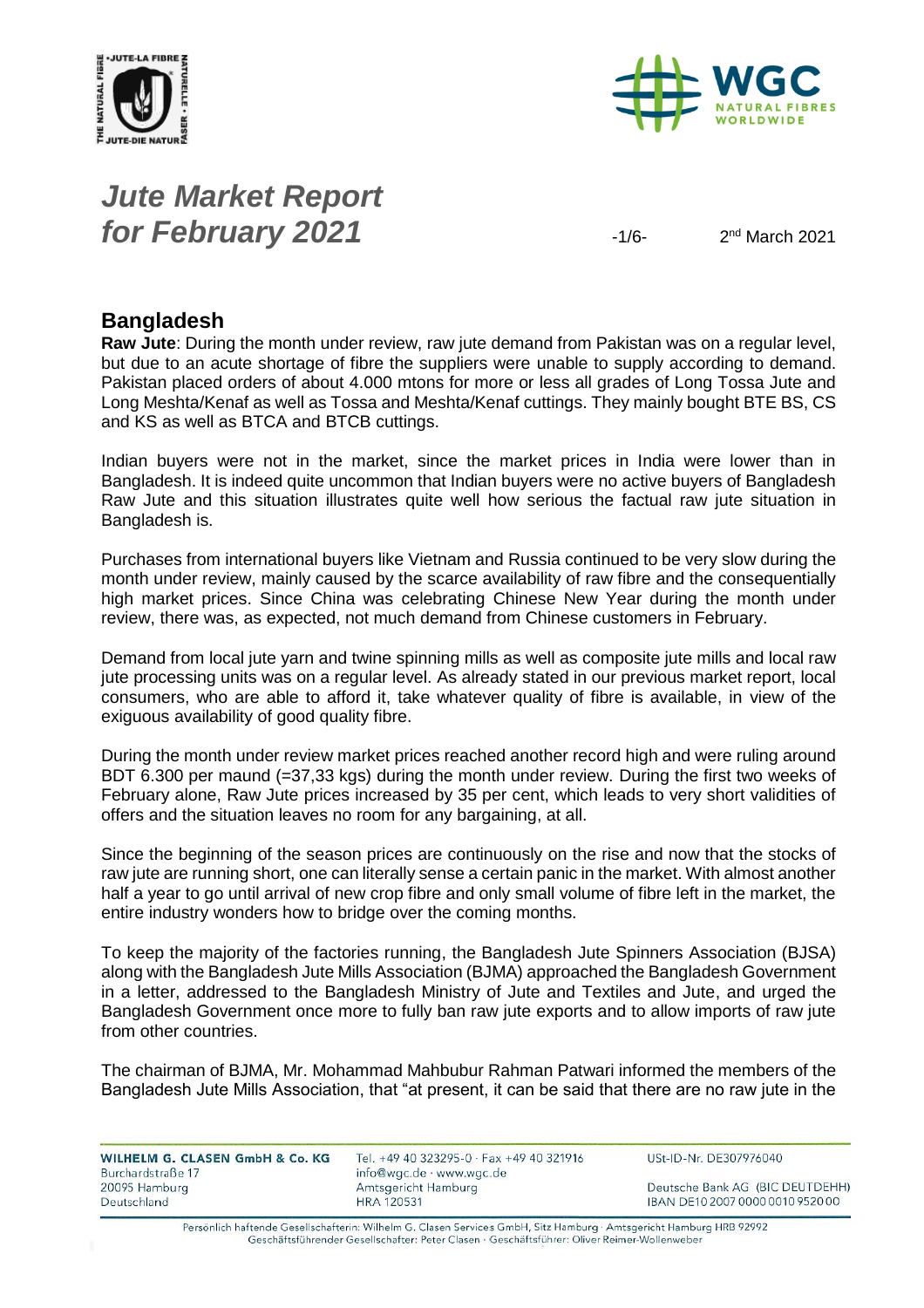



# *Jute Market Report for February 2021*  $-1/6$

 $2<sup>nd</sup> March 2021$ 

#### **Bangladesh**

**Raw Jute**: During the month under review, raw jute demand from Pakistan was on a regular level, but due to an acute shortage of fibre the suppliers were unable to supply according to demand. Pakistan placed orders of about 4.000 mtons for more or less all grades of Long Tossa Jute and Long Meshta/Kenaf as well as Tossa and Meshta/Kenaf cuttings. They mainly bought BTE BS, CS and KS as well as BTCA and BTCB cuttings.

Indian buyers were not in the market, since the market prices in India were lower than in Bangladesh. It is indeed quite uncommon that Indian buyers were no active buyers of Bangladesh Raw Jute and this situation illustrates quite well how serious the factual raw jute situation in Bangladesh is.

Purchases from international buyers like Vietnam and Russia continued to be very slow during the month under review, mainly caused by the scarce availability of raw fibre and the consequentially high market prices. Since China was celebrating Chinese New Year during the month under review, there was, as expected, not much demand from Chinese customers in February.

Demand from local jute yarn and twine spinning mills as well as composite jute mills and local raw jute processing units was on a regular level. As already stated in our previous market report, local consumers, who are able to afford it, take whatever quality of fibre is available, in view of the exiguous availability of good quality fibre.

During the month under review market prices reached another record high and were ruling around BDT 6.300 per maund (=37,33 kgs) during the month under review. During the first two weeks of February alone, Raw Jute prices increased by 35 per cent, which leads to very short validities of offers and the situation leaves no room for any bargaining, at all.

Since the beginning of the season prices are continuously on the rise and now that the stocks of raw jute are running short, one can literally sense a certain panic in the market. With almost another half a year to go until arrival of new crop fibre and only small volume of fibre left in the market, the entire industry wonders how to bridge over the coming months.

To keep the majority of the factories running, the Bangladesh Jute Spinners Association (BJSA) along with the Bangladesh Jute Mills Association (BJMA) approached the Bangladesh Government in a letter, addressed to the Bangladesh Ministry of Jute and Textiles and Jute, and urged the Bangladesh Government once more to fully ban raw jute exports and to allow imports of raw jute from other countries.

The chairman of BJMA, Mr. Mohammad Mahbubur Rahman Patwari informed the members of the Bangladesh Jute Mills Association, that "at present, it can be said that there are no raw jute in the

| <b>WILHELM G. CLASEN GmbH &amp; Co. KG.</b> | Tel. +49 40 323295-0 · Fax +49 40 321916 | USt        |
|---------------------------------------------|------------------------------------------|------------|
| Burchardstraße 17                           | info@wgc.de · www.wgc.de                 |            |
| 20095 Hamburg                               | Amtsgericht Hamburg                      | Det        |
| Deutschland                                 | <b>HRA 120531</b>                        | <b>IBA</b> |

-ID-Nr. DE307976040

utsche Bank AG (BIC DEUTDEHH) N DE10 2007 0000 0010 9520 00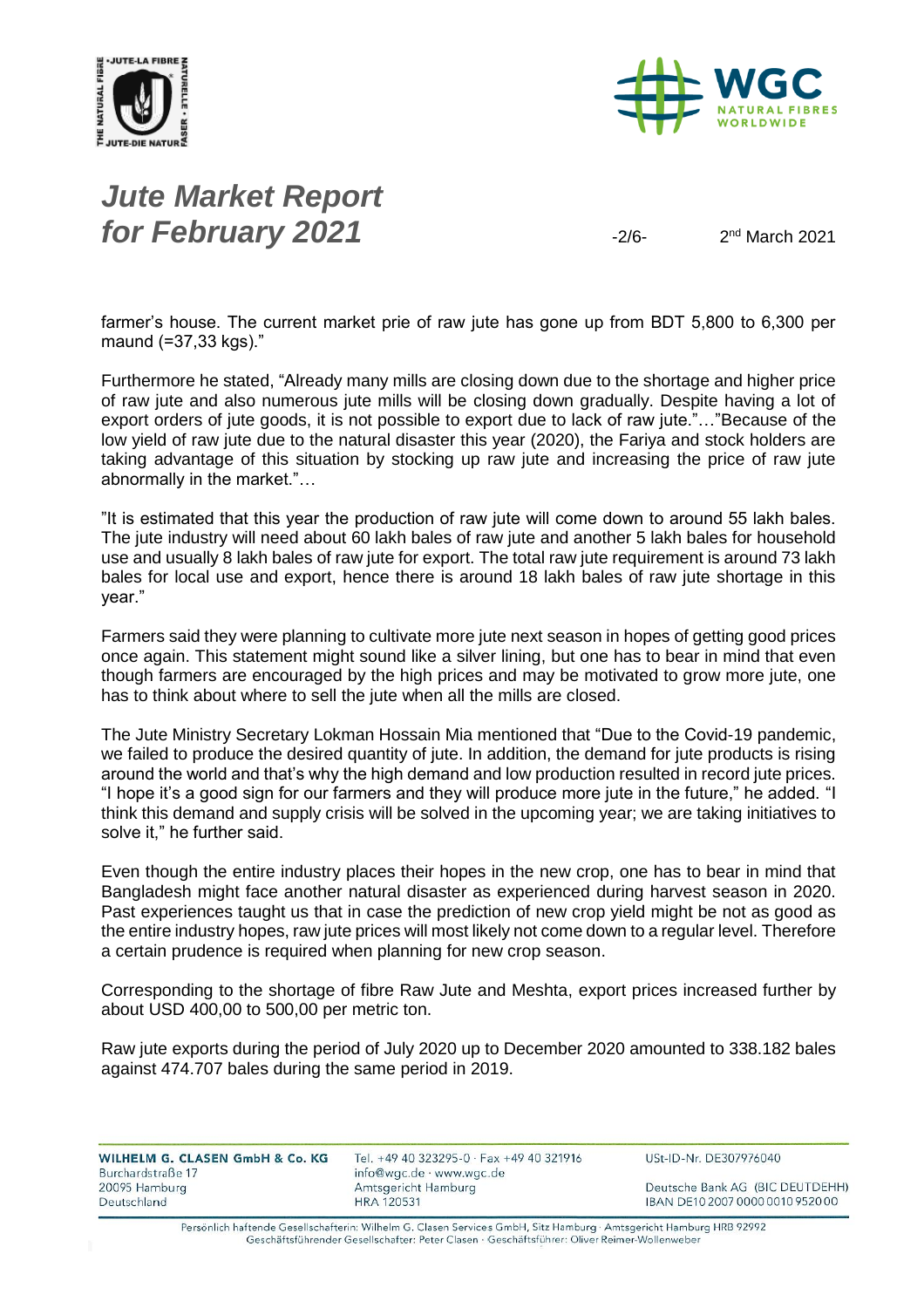



# *Jute Market Report for February 2021*  $\frac{2}{6}$

 $2<sup>nd</sup> March 2021$ 

farmer's house. The current market prie of raw jute has gone up from BDT 5,800 to 6,300 per maund (=37,33 kgs)."

Furthermore he stated, "Already many mills are closing down due to the shortage and higher price of raw jute and also numerous jute mills will be closing down gradually. Despite having a lot of export orders of jute goods, it is not possible to export due to lack of raw jute."…"Because of the low yield of raw jute due to the natural disaster this year (2020), the Fariya and stock holders are taking advantage of this situation by stocking up raw jute and increasing the price of raw jute abnormally in the market."…

"It is estimated that this year the production of raw jute will come down to around 55 lakh bales. The jute industry will need about 60 lakh bales of raw jute and another 5 lakh bales for household use and usually 8 lakh bales of raw jute for export. The total raw jute requirement is around 73 lakh bales for local use and export, hence there is around 18 lakh bales of raw jute shortage in this year."

Farmers said they were planning to cultivate more jute next season in hopes of getting good prices once again. This statement might sound like a silver lining, but one has to bear in mind that even though farmers are encouraged by the high prices and may be motivated to grow more jute, one has to think about where to sell the jute when all the mills are closed.

The Jute Ministry Secretary Lokman Hossain Mia mentioned that "Due to the Covid-19 pandemic, we failed to produce the desired quantity of jute. In addition, the demand for jute products is rising around the world and that's why the high demand and low production resulted in record jute prices. "I hope it's a good sign for our farmers and they will produce more jute in the future," he added. "I think this demand and supply crisis will be solved in the upcoming year; we are taking initiatives to solve it," he further said.

Even though the entire industry places their hopes in the new crop, one has to bear in mind that Bangladesh might face another natural disaster as experienced during harvest season in 2020. Past experiences taught us that in case the prediction of new crop yield might be not as good as the entire industry hopes, raw jute prices will most likely not come down to a regular level. Therefore a certain prudence is required when planning for new crop season.

Corresponding to the shortage of fibre Raw Jute and Meshta, export prices increased further by about USD 400,00 to 500,00 per metric ton.

Raw jute exports during the period of July 2020 up to December 2020 amounted to 338.182 bales against 474.707 bales during the same period in 2019.

| WILHELM G. CLASEN GmbH & Co. KG | Tel. +49 40 323295-0 · Fax +49 40 321916 | USt-ID-Nr. DE307976040           |
|---------------------------------|------------------------------------------|----------------------------------|
| Burchardstraße 17               | info@wgc.de · www.wgc.de                 |                                  |
| 20095 Hamburg                   | Amtsgericht Hamburg                      | Deutsche Bank AG (BIC DEUTDEHH)  |
| Deutschland                     | <b>HRA 120531</b>                        | IBAN DE10 2007 0000 0010 9520 00 |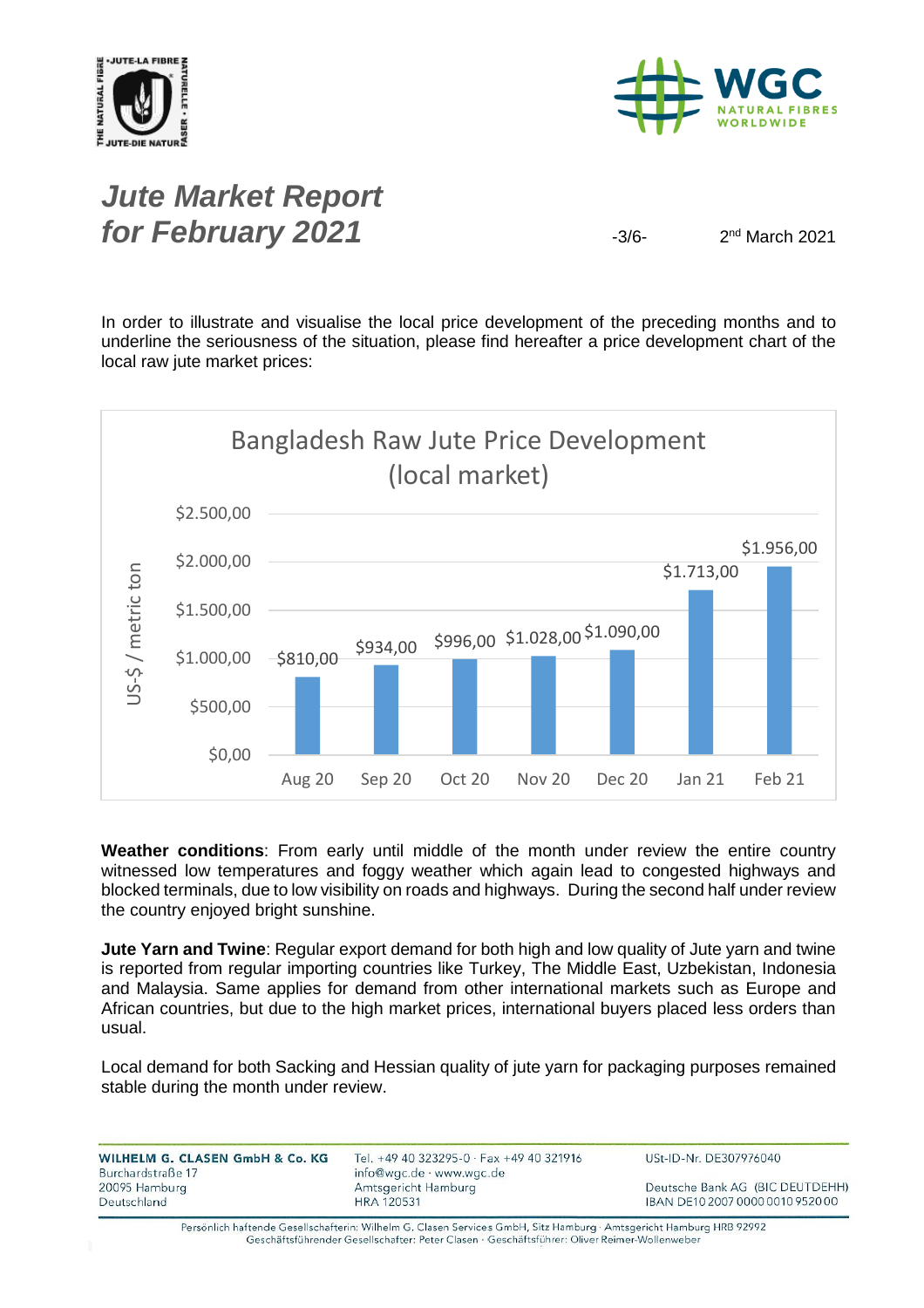



#### *Jute Market Report for February 2021*  $\frac{3}{6}$

 $2<sup>nd</sup> March 2021$ 

In order to illustrate and visualise the local price development of the preceding months and to underline the seriousness of the situation, please find hereafter a price development chart of the local raw jute market prices:



**Weather conditions**: From early until middle of the month under review the entire country witnessed low temperatures and foggy weather which again lead to congested highways and blocked terminals, due to low visibility on roads and highways. During the second half under review the country enjoyed bright sunshine.

**Jute Yarn and Twine**: Regular export demand for both high and low quality of Jute yarn and twine is reported from regular importing countries like Turkey, The Middle East, Uzbekistan, Indonesia and Malaysia. Same applies for demand from other international markets such as Europe and African countries, but due to the high market prices, international buyers placed less orders than usual.

Local demand for both Sacking and Hessian quality of jute yarn for packaging purposes remained stable during the month under review.

| WILHELM G. CLASEN GmbH & Co. KG | Tel. +49 40 323295-0 $\cdot$ Fax +49 40 321916 | USt-ID-Nr. DE307976040           |
|---------------------------------|------------------------------------------------|----------------------------------|
| Burchardstraße 17               | info@wgc.de · www.wgc.de                       |                                  |
| 20095 Hamburg                   | Amtsgericht Hamburg                            | Deutsche Bank AG (BIC DEUTDEHH)  |
| Deutschland                     | <b>HRA 120531</b>                              | IBAN DE10 2007 0000 0010 9520 00 |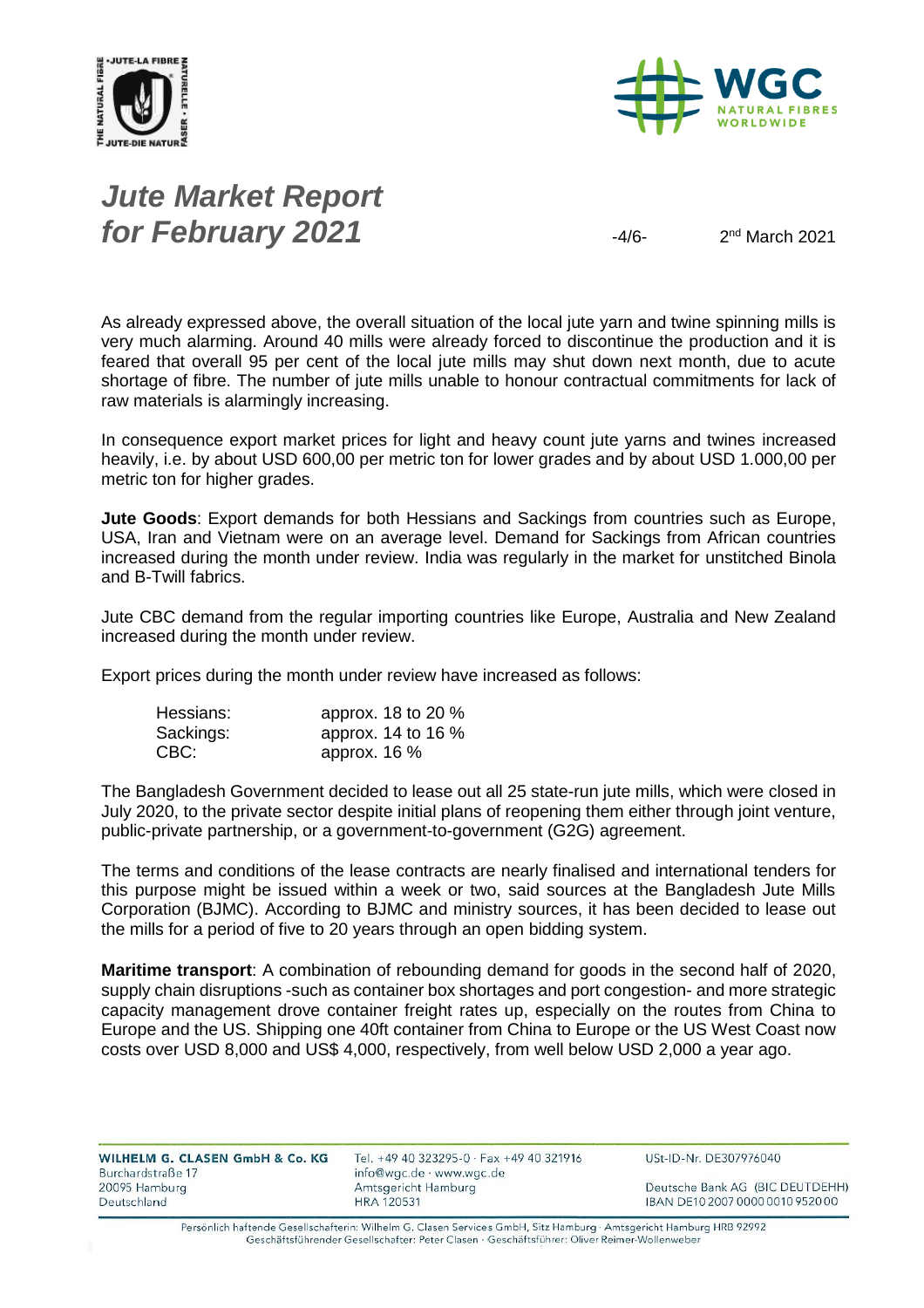



# *Jute Market Report for February 2021*  $\frac{4}{6}$

 $2<sup>nd</sup> March 2021$ 

As already expressed above, the overall situation of the local jute yarn and twine spinning mills is very much alarming. Around 40 mills were already forced to discontinue the production and it is feared that overall 95 per cent of the local jute mills may shut down next month, due to acute shortage of fibre. The number of jute mills unable to honour contractual commitments for lack of raw materials is alarmingly increasing.

In consequence export market prices for light and heavy count jute yarns and twines increased heavily, i.e. by about USD 600,00 per metric ton for lower grades and by about USD 1.000,00 per metric ton for higher grades.

**Jute Goods**: Export demands for both Hessians and Sackings from countries such as Europe, USA, Iran and Vietnam were on an average level. Demand for Sackings from African countries increased during the month under review. India was regularly in the market for unstitched Binola and B-Twill fabrics.

Jute CBC demand from the regular importing countries like Europe, Australia and New Zealand increased during the month under review.

Export prices during the month under review have increased as follows:

| Hessians: | approx. 18 to 20 % |
|-----------|--------------------|
| Sackings: | approx. 14 to 16 % |
| CBC:      | approx. $16\%$     |

The Bangladesh Government decided to lease out all 25 state-run jute mills, which were closed in July 2020, to the private sector despite initial plans of reopening them either through joint venture, public-private partnership, or a government-to-government (G2G) agreement.

The terms and conditions of the lease contracts are nearly finalised and international tenders for this purpose might be issued within a week or two, said sources at the Bangladesh Jute Mills Corporation (BJMC). According to BJMC and ministry sources, it has been decided to lease out the mills for a period of five to 20 years through an open bidding system.

**Maritime transport**: A combination of rebounding demand for goods in the second half of 2020, supply chain disruptions -such as container box shortages and port congestion- and more strategic capacity management drove container freight rates up, especially on the routes from China to Europe and the US. Shipping one 40ft container from China to Europe or the US West Coast now costs over USD 8,000 and US\$ 4,000, respectively, from well below USD 2,000 a year ago.

| WILHELM G. CLASEN GmbH & Co. KG<br>Burchardstraße 17 | Tel. +49 40 323295-0 · Fax +49 40 321916<br>info@wgc.de · www.wgc.de | USt-ID-Nr. DE307976040           |
|------------------------------------------------------|----------------------------------------------------------------------|----------------------------------|
| 20095 Hamburg                                        | Amtsgericht Hamburg                                                  | Deutsche Bank AG (BIC DEUTDEHH)  |
| Deutschland                                          | <b>HRA 120531</b>                                                    | IBAN DE10 2007 0000 0010 9520 00 |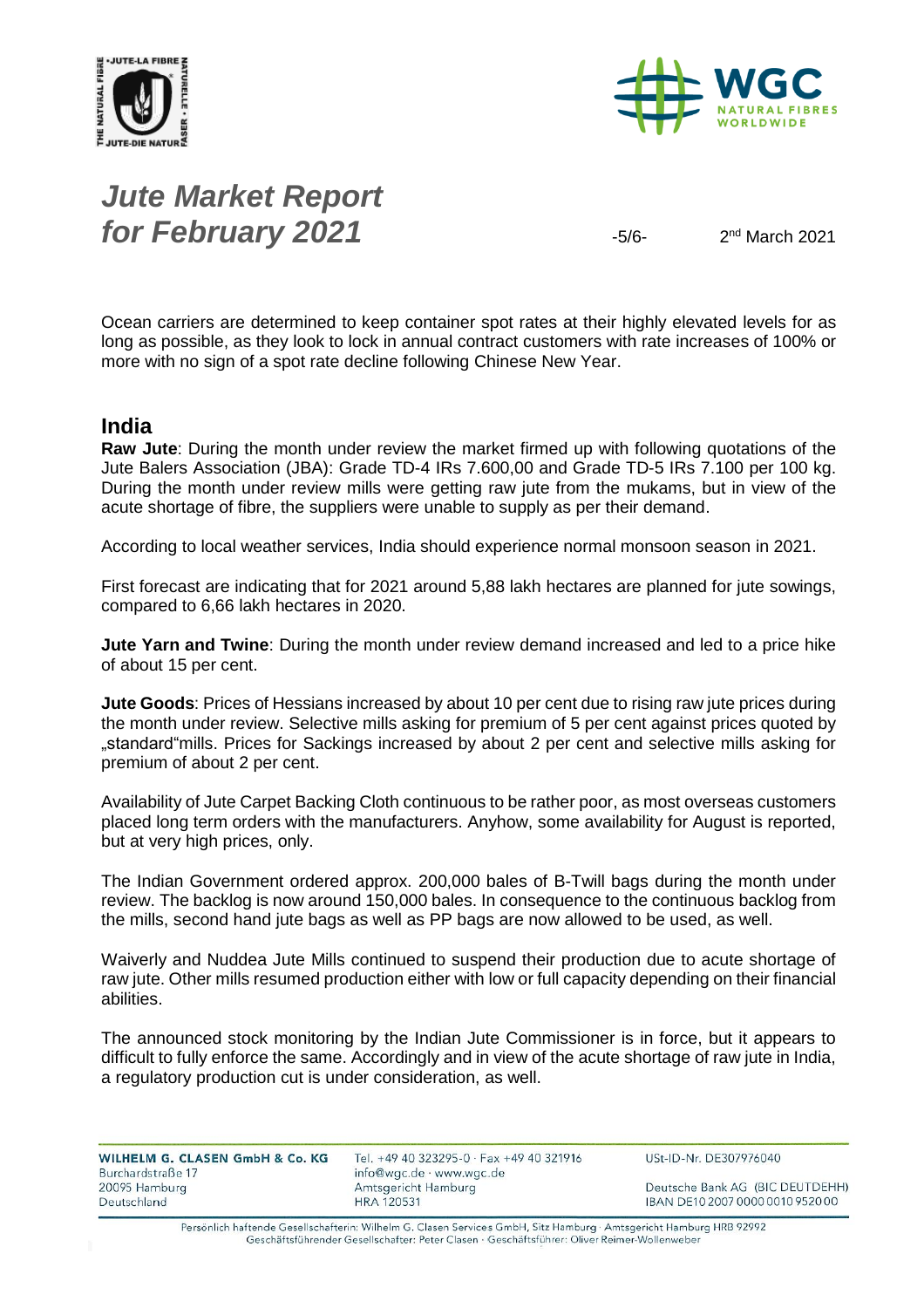



# *Jute Market Report for February 2021*  $-5/6$

 $2<sup>nd</sup> March 2021$ 

Ocean carriers are determined to keep container spot rates at their highly elevated levels for as long as possible, as they look to lock in annual contract customers with rate increases of 100% or more with no sign of a spot rate decline following Chinese New Year.

#### **India**

**Raw Jute**: During the month under review the market firmed up with following quotations of the Jute Balers Association (JBA): Grade TD-4 IRs 7.600,00 and Grade TD-5 IRs 7.100 per 100 kg. During the month under review mills were getting raw jute from the mukams, but in view of the acute shortage of fibre, the suppliers were unable to supply as per their demand.

According to local weather services, India should experience normal monsoon season in 2021.

First forecast are indicating that for 2021 around 5,88 lakh hectares are planned for jute sowings, compared to 6,66 lakh hectares in 2020.

**Jute Yarn and Twine**: During the month under review demand increased and led to a price hike of about 15 per cent.

**Jute Goods**: Prices of Hessians increased by about 10 per cent due to rising raw jute prices during the month under review. Selective mills asking for premium of 5 per cent against prices quoted by "standard"mills. Prices for Sackings increased by about 2 per cent and selective mills asking for premium of about 2 per cent.

Availability of Jute Carpet Backing Cloth continuous to be rather poor, as most overseas customers placed long term orders with the manufacturers. Anyhow, some availability for August is reported, but at very high prices, only.

The Indian Government ordered approx. 200,000 bales of B-Twill bags during the month under review. The backlog is now around 150,000 bales. In consequence to the continuous backlog from the mills, second hand jute bags as well as PP bags are now allowed to be used, as well.

Waiverly and Nuddea Jute Mills continued to suspend their production due to acute shortage of raw jute. Other mills resumed production either with low or full capacity depending on their financial abilities.

The announced stock monitoring by the Indian Jute Commissioner is in force, but it appears to difficult to fully enforce the same. Accordingly and in view of the acute shortage of raw jute in India, a regulatory production cut is under consideration, as well.

| WILHELM G. CLASEN GmbH & Co. KG | Tel. +49 40 323295-0 · Fax +49 40 321916 | USt-ID-Nr. DE307976040           |
|---------------------------------|------------------------------------------|----------------------------------|
| Burchardstraße 17               | info@wgc.de · www.wgc.de                 |                                  |
| 20095 Hamburg                   | Amtsgericht Hamburg                      | Deutsche Bank AG (BIC DEUTDEHH)  |
| Deutschland                     | <b>HRA 120531</b>                        | IBAN DE10 2007 0000 0010 9520 00 |